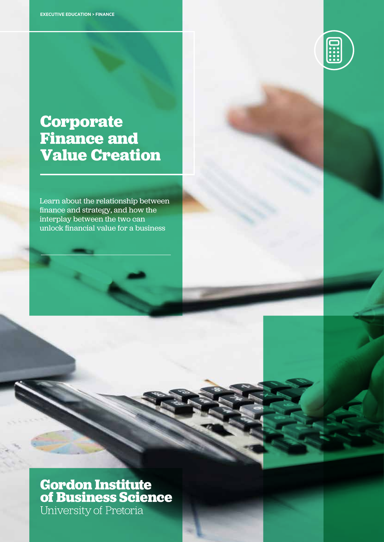

## **Corporate Finance and Value Creation**

Learn about the relationship between finance and strategy, and how the interplay between the two can unlock financial value for a business

# **Gordon Institute<br>of Business Science** University of Pretoria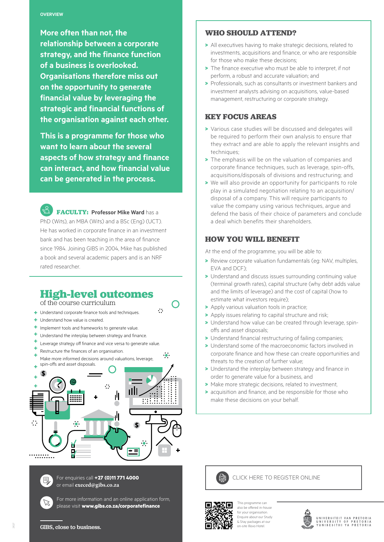**More often than not, the relationship between a corporate strategy, and the finance function of a business is overlooked. Organisations therefore miss out on the opportunity to generate financial value by leveraging the strategic and financial functions of the organisation against each other. other.**

**This is a programme for those who want to learn about the several aspects of how strategy and finance can interact, and how financial value can be generated in the process. This is a programme for those who want to learn about the several aspects of how strategy and finance can interact, and how financial value can be generated in the process.** 

**FACULTY: Professor Mike Ward** has a PhD (Wits), an MBA (Wits) and a BSc (Eng) (UCT). He has worked in corporate finance in an investment bank and has been teaching in the area of finance since 1984. Joining GIBS in 2004, Mike has published a book and several academic papers and is an NRF rated researcher.

### **High-level outcomes**

 $\ddot{\Omega}$ 

 $\bullet$ 

of the course curriculum

Understand corporate finance tools and techniques.

- Understand how value is created.
- Implement tools and frameworks to generate value.
- Understand the interplay between strategy and finance.
- Leverage strategy off finance and vice versa to generate value.
- Restructure the finances of an organisation.
- Make more informed decisions around valuations, leverage,





 $\mathbb{Z}$ 

For enquiries call **+27 (0)11 771 4000** or email **execed@gibs.co.za**

For more information and an online application form, please visit **www.gibs.co.za/corporatefinance**

#### **who should attend?**

- > All executives having to make strategic decisions, related to investments, acquisitions and finance, or who are responsible for those who make these decisions:
- > The finance executive who must be able to interpret, if not perform, a robust and accurate valuation; and
- > Professionals, such as consultants or investment bankers and investment analysts advising on acquisitions, value-based management, restructuring or corporate strategy.

#### **key FOCUS AREAS**

- > Various case studies will be discussed and delegates will be required to perform their own analysis to ensure that they extract and are able to apply the relevant insights and techniques;
- > The emphasis will be on the valuation of companies and corporate finance techniques, such as leverage, spin-offs, acquisitions/disposals of divisions and restructuring; and
- > We will also provide an opportunity for participants to role play in a simulated negotiation relating to an acquisition/ disposal of a company. This will require participants to value the company using various techniques, argue and defend the basis of their choice of parameters and conclude a deal which benefits their shareholders.

#### **How you will benefit**

At the end of the programme, you will be able to:

- > Review corporate valuation fundamentals (eg: NAV, multiples, EVA and DCF);
- > Understand and discuss issues surrounding continuing value (terminal growth rates), capital structure (why debt adds value and the limits of leverage) and the cost of capital (how to estimate what investors require);
- > Apply various valuation tools in practice:
- > Apply issues relating to capital structure and risk;
- > Understand how value can be created through leverage, spinoffs and asset disposals;
- > Understand financial restructuring of failing companies;
- > Understand some of the macroeconomic factors involved in corporate finance and how these can create opportunities and threats to the creation of further value;
- > Understand the interplay between strategy and finance in order to generate value for a business, and
- > Make more strategic decisions, related to investment,
- > acquisition and finance, and be responsible for those who make these decisions on your behalf.





This programme can also be offered in-house for your organisation. Enquire about our Study & Stay packages at our on-site Illovo Hotel.